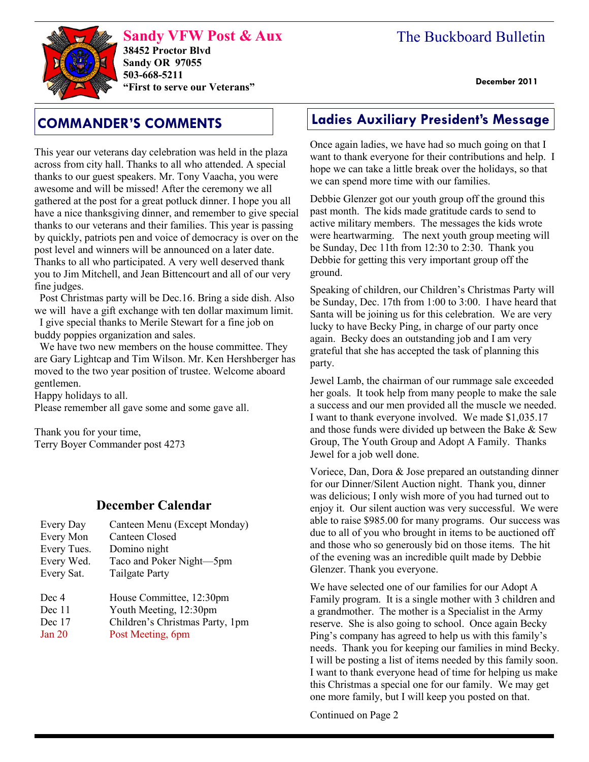# The Buckboard Bulletin

**Sandy VFW Post & Aux 38452 Proctor Blvd Sandy OR 97055 503-668-5211 "First to serve our Veterans" December 2011** 

This year our veterans day celebration was held in the plaza across from city hall. Thanks to all who attended. A special thanks to our guest speakers. Mr. Tony Vaacha, you were awesome and will be missed! After the ceremony we all gathered at the post for a great potluck dinner. I hope you all have a nice thanksgiving dinner, and remember to give special thanks to our veterans and their families. This year is passing by quickly, patriots pen and voice of democracy is over on the post level and winners will be announced on a later date. Thanks to all who participated. A very well deserved thank you to Jim Mitchell, and Jean Bittencourt and all of our very fine judges.

 Post Christmas party will be Dec.16. Bring a side dish. Also we will have a gift exchange with ten dollar maximum limit.

 I give special thanks to Merile Stewart for a fine job on buddy poppies organization and sales.

 We have two new members on the house committee. They are Gary Lightcap and Tim Wilson. Mr. Ken Hershberger has moved to the two year position of trustee. Welcome aboard gentlemen.

Happy holidays to all.

Please remember all gave some and some gave all.

Thank you for your time, Terry Boyer Commander post 4273

## **December Calendar**

| Every Day   | Canteen Menu (Except Monday)    |
|-------------|---------------------------------|
| Every Mon   | <b>Canteen Closed</b>           |
| Every Tues. | Domino night                    |
| Every Wed.  | Taco and Poker Night-5pm        |
| Every Sat.  | <b>Tailgate Party</b>           |
| Dec 4       | House Committee, 12:30pm        |
| Dec 11      | Youth Meeting, 12:30pm          |
| Dec 17      | Children's Christmas Party, 1pm |

Jan 20 Post Meeting, 6pm

# **COMMANDER'S COMMENTS Ladies Auxiliary President's Message**

Once again ladies, we have had so much going on that I want to thank everyone for their contributions and help. I hope we can take a little break over the holidays, so that we can spend more time with our families.

Debbie Glenzer got our youth group off the ground this past month. The kids made gratitude cards to send to active military members. The messages the kids wrote were heartwarming. The next youth group meeting will be Sunday, Dec 11th from 12:30 to 2:30. Thank you Debbie for getting this very important group off the ground.

Speaking of children, our Children's Christmas Party will be Sunday, Dec. 17th from 1:00 to 3:00. I have heard that Santa will be joining us for this celebration. We are very lucky to have Becky Ping, in charge of our party once again. Becky does an outstanding job and I am very grateful that she has accepted the task of planning this party.

Jewel Lamb, the chairman of our rummage sale exceeded her goals. It took help from many people to make the sale a success and our men provided all the muscle we needed. I want to thank everyone involved. We made \$1,035.17 and those funds were divided up between the Bake & Sew Group, The Youth Group and Adopt A Family. Thanks Jewel for a job well done.

Voriece, Dan, Dora & Jose prepared an outstanding dinner for our Dinner/Silent Auction night. Thank you, dinner was delicious; I only wish more of you had turned out to enjoy it. Our silent auction was very successful. We were able to raise \$985.00 for many programs. Our success was due to all of you who brought in items to be auctioned off and those who so generously bid on those items. The hit of the evening was an incredible quilt made by Debbie Glenzer. Thank you everyone.

We have selected one of our families for our Adopt A Family program. It is a single mother with 3 children and a grandmother. The mother is a Specialist in the Army reserve. She is also going to school. Once again Becky Ping's company has agreed to help us with this family's needs. Thank you for keeping our families in mind Becky. I will be posting a list of items needed by this family soon. I want to thank everyone head of time for helping us make this Christmas a special one for our family. We may get one more family, but I will keep you posted on that.

Continued on Page 2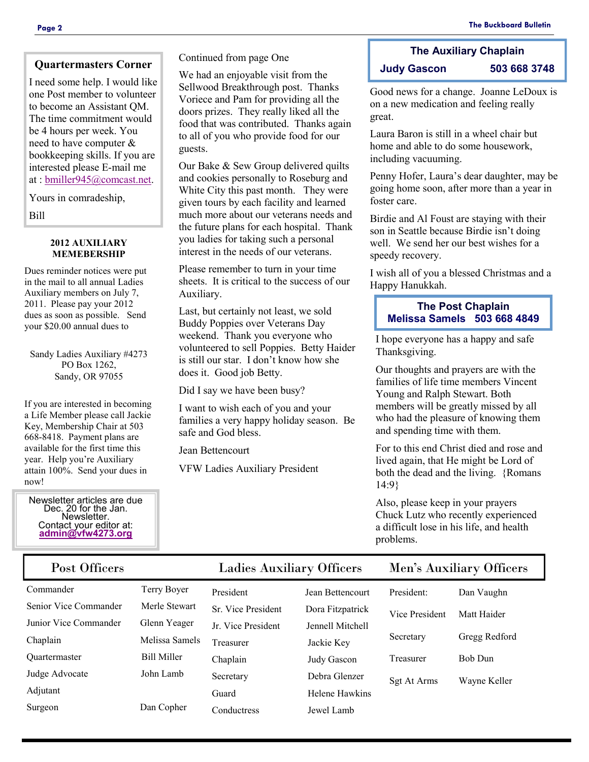## **Quartermasters Corner**

I need some help. I would like one Post member to volunteer to become an Assistant QM. The time commitment would be 4 hours per week. You need to have computer & bookkeeping skills. If you are interested please E-mail me at : [bmiller945@comcast.net.](mailto:bmiller945@comcast.net)

Yours in comradeship,

Bill

#### **2012 AUXILIARY MEMEBERSHIP**

Dues reminder notices were put in the mail to all annual Ladies Auxiliary members on July 7, 2011. Please pay your 2012 dues as soon as possible. Send your \$20.00 annual dues to

Sandy Ladies Auxiliary #4273 PO Box 1262, Sandy, OR 97055

If you are interested in becoming a Life Member please call Jackie Key, Membership Chair at 503 668-8418. Payment plans are available for the first time this year. Help you're Auxiliary attain 100%. Send your dues in now!

Newsletter articles are due Dec. 20 for the Jan. Newsletter. Contact your editor at: **[admin@vfw4273.org](mailto:admin@vfw4273.org)**

Continued from page One

We had an enjoyable visit from the Sellwood Breakthrough post. Thanks Voriece and Pam for providing all the doors prizes. They really liked all the food that was contributed. Thanks again to all of you who provide food for our guests.

Our Bake & Sew Group delivered quilts and cookies personally to Roseburg and White City this past month. They were given tours by each facility and learned much more about our veterans needs and the future plans for each hospital. Thank you ladies for taking such a personal interest in the needs of our veterans.

Please remember to turn in your time sheets. It is critical to the success of our Auxiliary.

Last, but certainly not least, we sold Buddy Poppies over Veterans Day weekend. Thank you everyone who volunteered to sell Poppies. Betty Haider is still our star. I don't know how she does it. Good job Betty.

Did I say we have been busy?

I want to wish each of you and your families a very happy holiday season. Be safe and God bless.

Jean Bettencourt

VFW Ladies Auxiliary President

## **The Auxiliary Chaplain Judy Gascon 503 668 3748**

Good news for a change. Joanne LeDoux is on a new medication and feeling really great.

Laura Baron is still in a wheel chair but home and able to do some housework, including vacuuming.

Penny Hofer, Laura's dear daughter, may be going home soon, after more than a year in foster care.

Birdie and Al Foust are staying with their son in Seattle because Birdie isn't doing well. We send her our best wishes for a speedy recovery.

I wish all of you a blessed Christmas and a Happy Hanukkah.

## **The Post Chaplain Melissa Samels 503 668 4849**

I hope everyone has a happy and safe Thanksgiving.

Our thoughts and prayers are with the families of life time members Vincent Young and Ralph Stewart. Both members will be greatly missed by all who had the pleasure of knowing them and spending time with them.

For to this end Christ died and rose and lived again, that He might be Lord of both the dead and the living. {Romans 14:9}

Also, please keep in your prayers Chuck Lutz who recently experienced a difficult lose in his life, and health problems.

| Post Officers         |                    | <b>Ladies Auxiliary Officers</b> |                       | Men's Auxiliary Officers |                |
|-----------------------|--------------------|----------------------------------|-----------------------|--------------------------|----------------|
| Commander             | Terry Boyer        | President                        | Jean Bettencourt      | President:               | Dan Vaughn     |
| Senior Vice Commander | Merle Stewart      | Sr. Vice President               | Dora Fitzpatrick      | Vice President           | Matt Haider    |
| Junior Vice Commander | Glenn Yeager       | Jr. Vice President               | Jennell Mitchell      |                          |                |
| Chaplain              | Melissa Samels     | Treasurer                        | Jackie Key            | Secretary                | Gregg Redford  |
| <b>Ouartermaster</b>  | <b>Bill Miller</b> | Chaplain                         | Judy Gascon           | Treasurer                | <b>Bob Dun</b> |
| Judge Advocate        | John Lamb          | Secretary                        | Debra Glenzer         | Sgt At Arms              | Wayne Keller   |
| Adjutant              |                    | Guard                            | <b>Helene Hawkins</b> |                          |                |
| Surgeon               | Dan Copher         | Conductress                      | Jewel Lamb            |                          |                |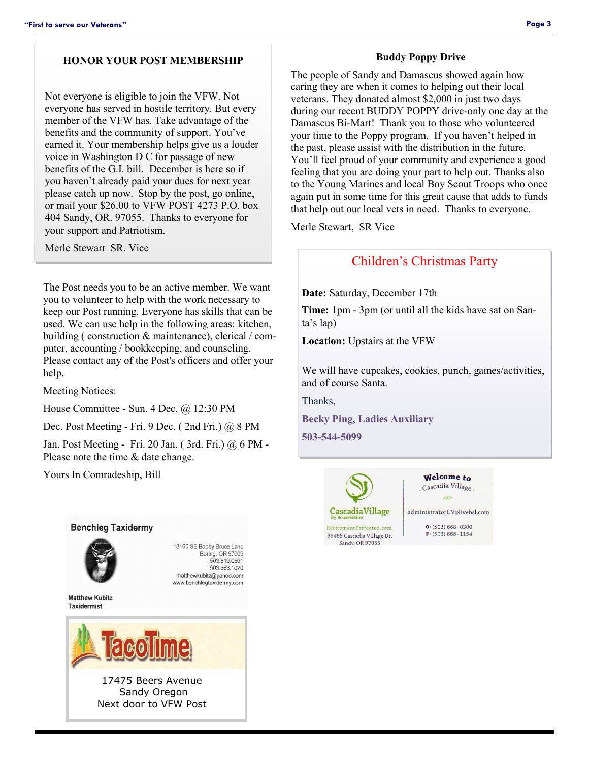## **HONOR YOUR POST MEMBERSHIP**

Not everyone is eligible to join the VFW. Not everyone has served in hostile territory. But every member of the VFW has. Take advantage of the benefits and the community of support. You've earned it. Your membership helps give us a louder voice in Washington D C for passage of new benefits of the G.I. bill. December is here so if you haven't already paid your dues for next year please catch up now. Stop by the post, go online, or mail your \$26.00 to VFW POST 4273 P.O. box 404 Sandy, OR. 97055. Thanks to everyone for your support and Patriotism.

Merle Stewart SR. Vice

The Post needs you to be an active member. We want you to volunteer to help with the work necessary to keep our Post running. Everyone has skills that can be used. We can use help in the following areas: kitchen, building ( construction & maintenance), clerical / computer, accounting / bookkeeping, and counseling. Please contact any of the Post's officers and offer your help.

Meeting Notices:

House Committee - Sun. 4 Dec. @ 12:30 PM

Dec. Post Meeting - Fri. 9 Dec. ( 2nd Fri.) @ 8 PM

Jan. Post Meeting - Fri. 20 Jan. ( 3rd. Fri.) @ 6 PM - Please note the time & date change.

Yours In Comradeship, Bill



#### **Buddy Poppy Drive**

The people of Sandy and Damascus showed again how caring they are when it comes to helping out their local veterans. They donated almost \$2,000 in just two days during our recent BUDDY POPPY drive-only one day at the Damascus Bi-Mart! Thank you to those who volunteered your time to the Poppy program. If you haven't helped in the past, please assist with the distribution in the future. You'll feel proud of your community and experience a good feeling that you are doing your part to help out. Thanks also to the Young Marines and local Boy Scout Troops who once again put in some time for this great cause that adds to funds that help out our local vets in need. Thanks to everyone.

Merle Stewart, SR Vice

## Children's Christmas Party

**Date:** Saturday, December 17th

**Time:** 1pm - 3pm (or until all the kids have sat on Santa's lap)

**Location:** Upstairs at the VFW

We will have cupcakes, cookies, punch, games/activities, and of course Santa.

Thanks,

**Becky Ping**, **Ladies Auxiliary**

**503-544-5099**



Welcome to Cascadia Village administratorCV@livebsl.com  $O: (503) 668 - 0300$  $F: (503) 668 - 1154$